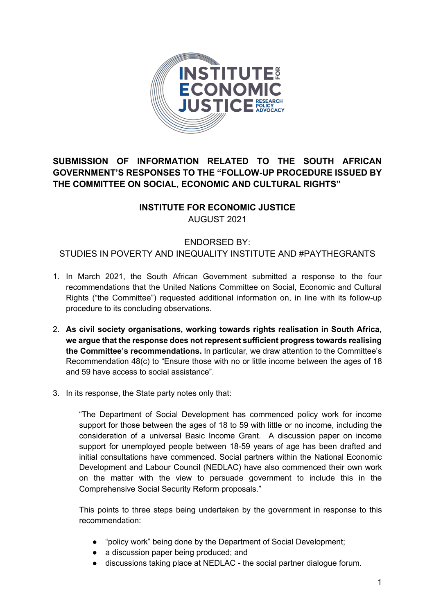

## **SUBMISSION OF INFORMATION RELATED TO THE SOUTH AFRICAN GOVERNMENT'S RESPONSES TO THE "FOLLOW-UP PROCEDURE ISSUED BY THE COMMITTEE ON SOCIAL, ECONOMIC AND CULTURAL RIGHTS"**

## **INSTITUTE FOR ECONOMIC JUSTICE**

AUGUST 2021

## ENDORSED BY:

STUDIES IN POVERTY AND INEQUALITY INSTITUTE AND #PAYTHEGRANTS

- 1. In March 2021, the South African Government submitted a response to the four recommendations that the United Nations Committee on Social, Economic and Cultural Rights ("the Committee") requested additional information on, in line with its follow-up procedure to its concluding observations.
- 2. **As civil society organisations, working towards rights realisation in South Africa, we argue that the response does not represent sufficient progress towards realising the Committee's recommendations.** In particular, we draw attention to the Committee's Recommendation 48(c) to "Ensure those with no or little income between the ages of 18 and 59 have access to social assistance".
- 3. In its response, the State party notes only that:

"The Department of Social Development has commenced policy work for income support for those between the ages of 18 to 59 with little or no income, including the consideration of a universal Basic Income Grant. A discussion paper on income support for unemployed people between 18-59 years of age has been drafted and initial consultations have commenced. Social partners within the National Economic Development and Labour Council (NEDLAC) have also commenced their own work on the matter with the view to persuade government to include this in the Comprehensive Social Security Reform proposals."

This points to three steps being undertaken by the government in response to this recommendation:

- "policy work" being done by the Department of Social Development;
- a discussion paper being produced; and
- discussions taking place at NEDLAC the social partner dialogue forum.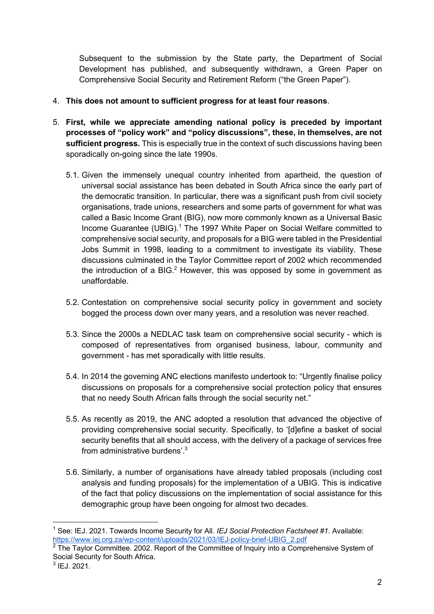Subsequent to the submission by the State party, the Department of Social Development has published, and subsequently withdrawn, a Green Paper on Comprehensive Social Security and Retirement Reform ("the Green Paper").

- 4. **This does not amount to sufficient progress for at least four reasons**.
- 5. **First, while we appreciate amending national policy is preceded by important processes of "policy work" and "policy discussions", these, in themselves, are not sufficient progress.** This is especially true in the context of such discussions having been sporadically on-going since the late 1990s.
	- 5.1. Given the immensely unequal country inherited from apartheid, the question of universal social assistance has been debated in South Africa since the early part of the democratic transition. In particular, there was a significant push from civil society organisations, trade unions, researchers and some parts of government for what was called a Basic Income Grant (BIG), now more commonly known as a Universal Basic Income Guarantee (UBIG). <sup>1</sup> The 1997 White Paper on Social Welfare committed to comprehensive social security, and proposals for a BIG were tabled in the Presidential Jobs Summit in 1998, leading to a commitment to investigate its viability. These discussions culminated in the Taylor Committee report of 2002 which recommended the introduction of a BIG. $<sup>2</sup>$  However, this was opposed by some in government as</sup> unaffordable.
	- 5.2. Contestation on comprehensive social security policy in government and society bogged the process down over many years, and a resolution was never reached.
	- 5.3. Since the 2000s a NEDLAC task team on comprehensive social security which is composed of representatives from organised business, labour, community and government - has met sporadically with little results.
	- 5.4. In 2014 the governing ANC elections manifesto undertook to: "Urgently finalise policy discussions on proposals for a comprehensive social protection policy that ensures that no needy South African falls through the social security net."
	- 5.5. As recently as 2019, the ANC adopted a resolution that advanced the objective of providing comprehensive social security. Specifically, to '[d]efine a basket of social security benefits that all should access, with the delivery of a package of services free from administrative burdens'.<sup>3</sup>
	- 5.6. Similarly, a number of organisations have already tabled proposals (including cost analysis and funding proposals) for the implementation of a UBIG. This is indicative of the fact that policy discussions on the implementation of social assistance for this demographic group have been ongoing for almost two decades.

<sup>1</sup> See: IEJ. 2021. Towards Income Security for All. *IEJ Social Protection Factsheet #1*. Available: https://www.iej.org.za/wp-content/uploads/2021/03/IEJ-policy-brief-UBIG\_2.pdf

 $2$  The Taylor Committee. 2002. Report of the Committee of Inquiry into a Comprehensive System of Social Security for South Africa.

 $3$  IEJ. 2021.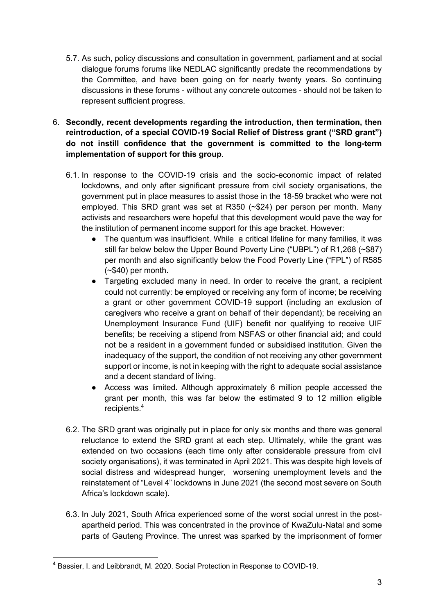- 5.7. As such, policy discussions and consultation in government, parliament and at social dialogue forums forums like NEDLAC significantly predate the recommendations by the Committee, and have been going on for nearly twenty years. So continuing discussions in these forums - without any concrete outcomes - should not be taken to represent sufficient progress.
- 6. **Secondly, recent developments regarding the introduction, then termination, then reintroduction, of a special COVID-19 Social Relief of Distress grant ("SRD grant") do not instill confidence that the government is committed to the long-term implementation of support for this group**.
	- 6.1. In response to the COVID-19 crisis and the socio-economic impact of related lockdowns, and only after significant pressure from civil society organisations, the government put in place measures to assist those in the 18-59 bracket who were not employed. This SRD grant was set at R350 (~\$24) per person per month. Many activists and researchers were hopeful that this development would pave the way for the institution of permanent income support for this age bracket. However:
		- The quantum was insufficient. While a critical lifeline for many families, it was still far below below the Upper Bound Poverty Line ("UBPL") of R1,268 (~\$87) per month and also significantly below the Food Poverty Line ("FPL") of R585 (~\$40) per month.
		- Targeting excluded many in need. In order to receive the grant, a recipient could not currently: be employed or receiving any form of income; be receiving a grant or other government COVID-19 support (including an exclusion of caregivers who receive a grant on behalf of their dependant); be receiving an Unemployment Insurance Fund (UIF) benefit nor qualifying to receive UIF benefits; be receiving a stipend from NSFAS or other financial aid; and could not be a resident in a government funded or subsidised institution. Given the inadequacy of the support, the condition of not receiving any other government support or income, is not in keeping with the right to adequate social assistance and a decent standard of living.
		- Access was limited. Although approximately 6 million people accessed the grant per month, this was far below the estimated 9 to 12 million eligible recipients.<sup>4</sup>
	- 6.2. The SRD grant was originally put in place for only six months and there was general reluctance to extend the SRD grant at each step. Ultimately, while the grant was extended on two occasions (each time only after considerable pressure from civil society organisations), it was terminated in April 2021. This was despite high levels of social distress and widespread hunger, worsening unemployment levels and the reinstatement of "Level 4" lockdowns in June 2021 (the second most severe on South Africa's lockdown scale).
	- 6.3. In July 2021, South Africa experienced some of the worst social unrest in the postapartheid period. This was concentrated in the province of KwaZulu-Natal and some parts of Gauteng Province. The unrest was sparked by the imprisonment of former

<sup>4</sup> Bassier, I. and Leibbrandt, M. 2020. Social Protection in Response to COVID-19.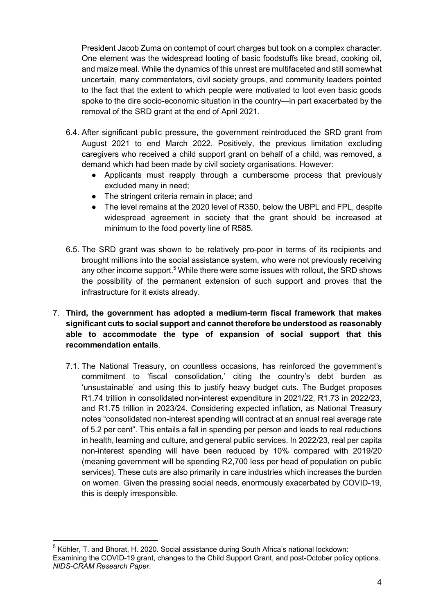President Jacob Zuma on contempt of court charges but took on a complex character. One element was the widespread looting of basic foodstuffs like bread, cooking oil, and maize meal. While the dynamics of this unrest are multifaceted and still somewhat uncertain, many commentators, civil society groups, and community leaders pointed to the fact that the extent to which people were motivated to loot even basic goods spoke to the dire socio-economic situation in the country—in part exacerbated by the removal of the SRD grant at the end of April 2021.

- 6.4. After significant public pressure, the government reintroduced the SRD grant from August 2021 to end March 2022. Positively, the previous limitation excluding caregivers who received a child support grant on behalf of a child, was removed, a demand which had been made by civil society organisations. However:
	- Applicants must reapply through a cumbersome process that previously excluded many in need;
	- The stringent criteria remain in place; and
	- The level remains at the 2020 level of R350, below the UBPL and FPL, despite widespread agreement in society that the grant should be increased at minimum to the food poverty line of R585.
- 6.5. The SRD grant was shown to be relatively pro-poor in terms of its recipients and brought millions into the social assistance system, who were not previously receiving any other income support.<sup>5</sup> While there were some issues with rollout, the SRD shows the possibility of the permanent extension of such support and proves that the infrastructure for it exists already.
- 7. **Third, the government has adopted a medium-term fiscal framework that makes significant cuts to social support and cannot therefore be understood as reasonably able to accommodate the type of expansion of social support that this recommendation entails**.
	- 7.1. The National Treasury, on countless occasions, has reinforced the government's commitment to 'fiscal consolidation,' citing the country's debt burden as 'unsustainable' and using this to justify heavy budget cuts. The Budget proposes R1.74 trillion in consolidated non-interest expenditure in 2021/22, R1.73 in 2022/23, and R1.75 trillion in 2023/24. Considering expected inflation, as National Treasury notes "consolidated non-interest spending will contract at an annual real average rate of 5.2 per cent". This entails a fall in spending per person and leads to real reductions in health, learning and culture, and general public services. In 2022/23, real per capita non-interest spending will have been reduced by 10% compared with 2019/20 (meaning government will be spending R2,700 less per head of population on public services). These cuts are also primarily in care industries which increases the burden on women. Given the pressing social needs, enormously exacerbated by COVID-19, this is deeply irresponsible.

 $<sup>5</sup>$  Köhler, T. and Bhorat, H. 2020. Social assistance during South Africa's national lockdown:</sup> Examining the COVID-19 grant, changes to the Child Support Grant, and post-October policy options. *NIDS-CRAM Research Paper*.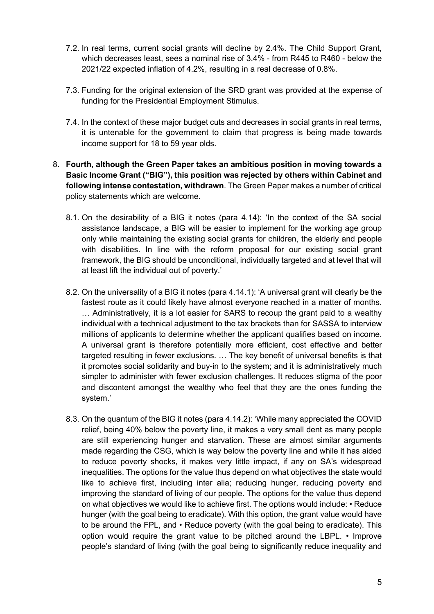- 7.2. In real terms, current social grants will decline by 2.4%. The Child Support Grant, which decreases least, sees a nominal rise of 3.4% - from R445 to R460 - below the 2021/22 expected inflation of 4.2%, resulting in a real decrease of 0.8%.
- 7.3. Funding for the original extension of the SRD grant was provided at the expense of funding for the Presidential Employment Stimulus.
- 7.4. In the context of these major budget cuts and decreases in social grants in real terms, it is untenable for the government to claim that progress is being made towards income support for 18 to 59 year olds.
- 8. **Fourth, although the Green Paper takes an ambitious position in moving towards a Basic Income Grant ("BIG"), this position was rejected by others within Cabinet and following intense contestation, withdrawn**. The Green Paper makes a number of critical policy statements which are welcome.
	- 8.1. On the desirability of a BIG it notes (para 4.14): 'In the context of the SA social assistance landscape, a BIG will be easier to implement for the working age group only while maintaining the existing social grants for children, the elderly and people with disabilities. In line with the reform proposal for our existing social grant framework, the BIG should be unconditional, individually targeted and at level that will at least lift the individual out of poverty.'
	- 8.2. On the universality of a BIG it notes (para 4.14.1): 'A universal grant will clearly be the fastest route as it could likely have almost everyone reached in a matter of months. … Administratively, it is a lot easier for SARS to recoup the grant paid to a wealthy individual with a technical adjustment to the tax brackets than for SASSA to interview millions of applicants to determine whether the applicant qualifies based on income. A universal grant is therefore potentially more efficient, cost effective and better targeted resulting in fewer exclusions. … The key benefit of universal benefits is that it promotes social solidarity and buy-in to the system; and it is administratively much simpler to administer with fewer exclusion challenges. It reduces stigma of the poor and discontent amongst the wealthy who feel that they are the ones funding the system.'
	- 8.3. On the quantum of the BIG it notes (para 4.14.2): 'While many appreciated the COVID relief, being 40% below the poverty line, it makes a very small dent as many people are still experiencing hunger and starvation. These are almost similar arguments made regarding the CSG, which is way below the poverty line and while it has aided to reduce poverty shocks, it makes very little impact, if any on SA's widespread inequalities. The options for the value thus depend on what objectives the state would like to achieve first, including inter alia; reducing hunger, reducing poverty and improving the standard of living of our people. The options for the value thus depend on what objectives we would like to achieve first. The options would include: • Reduce hunger (with the goal being to eradicate). With this option, the grant value would have to be around the FPL, and • Reduce poverty (with the goal being to eradicate). This option would require the grant value to be pitched around the LBPL. • Improve people's standard of living (with the goal being to significantly reduce inequality and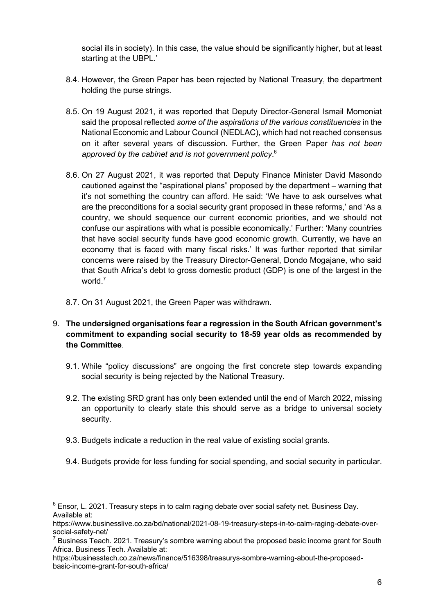social ills in society). In this case, the value should be significantly higher, but at least starting at the UBPL.'

- 8.4. However, the Green Paper has been rejected by National Treasury, the department holding the purse strings.
- 8.5. On 19 August 2021, it was reported that Deputy Director-General Ismail Momoniat said the proposal reflected *some of the aspirations of the various constituencies* in the National Economic and Labour Council (NEDLAC), which had not reached consensus on it after several years of discussion. Further, the Green Paper *has not been approved by the cabinet and is not government policy*. 6
- 8.6. On 27 August 2021, it was reported that Deputy Finance Minister David Masondo cautioned against the "aspirational plans" proposed by the department – warning that it's not something the country can afford. He said: 'We have to ask ourselves what are the preconditions for a social security grant proposed in these reforms,' and 'As a country, we should sequence our current economic priorities, and we should not confuse our aspirations with what is possible economically.' Further: 'Many countries that have social security funds have good economic growth. Currently, we have an economy that is faced with many fiscal risks.' It was further reported that similar concerns were raised by the Treasury Director-General, Dondo Mogajane, who said that South Africa's debt to gross domestic product (GDP) is one of the largest in the world $<sup>7</sup>$ </sup>
- 8.7. On 31 August 2021, the Green Paper was withdrawn.
- 9. **The undersigned organisations fear a regression in the South African government's commitment to expanding social security to 18-59 year olds as recommended by the Committee**.
	- 9.1. While "policy discussions" are ongoing the first concrete step towards expanding social security is being rejected by the National Treasury.
	- 9.2. The existing SRD grant has only been extended until the end of March 2022, missing an opportunity to clearly state this should serve as a bridge to universal society security.
	- 9.3. Budgets indicate a reduction in the real value of existing social grants.
	- 9.4. Budgets provide for less funding for social spending, and social security in particular.

 $6$  Ensor, L. 2021. Treasury steps in to calm raging debate over social safety net. Business Day. Available at:

https://www.businesslive.co.za/bd/national/2021-08-19-treasury-steps-in-to-calm-raging-debate-oversocial-safety-net/

 $7$  Business Teach. 2021. Treasury's sombre warning about the proposed basic income grant for South Africa. Business Tech. Available at:

https://businesstech.co.za/news/finance/516398/treasurys-sombre-warning-about-the-proposedbasic-income-grant-for-south-africa/